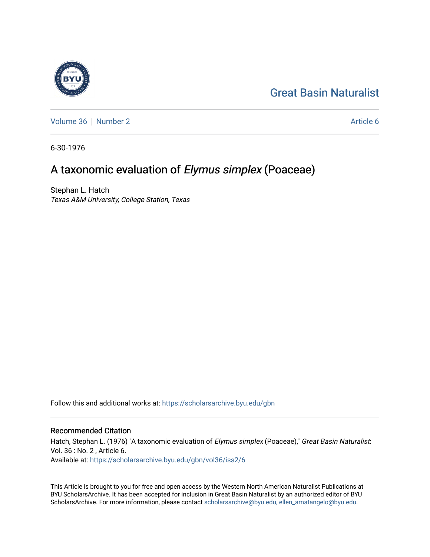# [Great Basin Naturalist](https://scholarsarchive.byu.edu/gbn)

[Volume 36](https://scholarsarchive.byu.edu/gbn/vol36) [Number 2](https://scholarsarchive.byu.edu/gbn/vol36/iss2) Article 6

6-30-1976

# A taxonomic evaluation of Elymus simplex (Poaceae)

Stephan L. Hatch Texas A&M University, College Station, Texas

Follow this and additional works at: [https://scholarsarchive.byu.edu/gbn](https://scholarsarchive.byu.edu/gbn?utm_source=scholarsarchive.byu.edu%2Fgbn%2Fvol36%2Fiss2%2F6&utm_medium=PDF&utm_campaign=PDFCoverPages) 

## Recommended Citation

Hatch, Stephan L. (1976) "A taxonomic evaluation of Elymus simplex (Poaceae)," Great Basin Naturalist: Vol. 36 : No. 2 , Article 6. Available at: [https://scholarsarchive.byu.edu/gbn/vol36/iss2/6](https://scholarsarchive.byu.edu/gbn/vol36/iss2/6?utm_source=scholarsarchive.byu.edu%2Fgbn%2Fvol36%2Fiss2%2F6&utm_medium=PDF&utm_campaign=PDFCoverPages)

This Article is brought to you for free and open access by the Western North American Naturalist Publications at BYU ScholarsArchive. It has been accepted for inclusion in Great Basin Naturalist by an authorized editor of BYU ScholarsArchive. For more information, please contact [scholarsarchive@byu.edu, ellen\\_amatangelo@byu.edu.](mailto:scholarsarchive@byu.edu,%20ellen_amatangelo@byu.edu)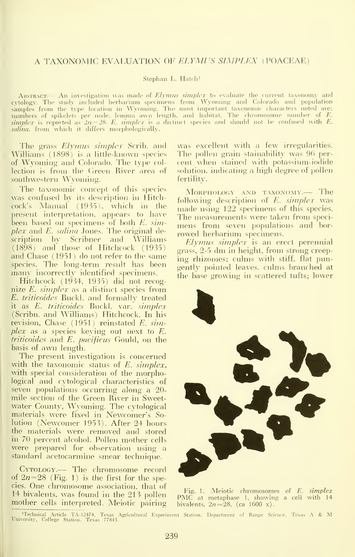### A TAXONOMIC EVALUATION OF ELYMUS SIMPLEX (POACEAE)

#### Stephan L. Hatch'

Austreact An investigation was made of Elymus simplex to evaluate the current taxonomy and cytology. The study included herbarium specimens from Wyoming and Colorado and population samples from the type location in Wyoming. The most important taxonomic characters noted are:<br>numbers of spikelets per node, lemma awn length, and habitat. The chromosome number of E.<br>simplex is reported as 2n=28. E. simp *salina*. from which it differs morphologically.

The grass *Elymus simplex* Scrib. and Williams (1898) is a little-known species of Wyoming and Colorado. The type col lection is from the Green River area of - so southwestern Wyoming.

The taxonomic concept of this species was confused by its description in Hitchcock's Manual (1935), which in the present interpretation, appears to have been based on specimens of both  $E$ .  $sim$  $plex$  and  $E.$  salina Jones. The original description by Scribner and Williams (1898) and those of Hitchcock (1935) and Chase (1951) do not refer to the same species. The long-term result has been many incorrectly identified specimens.

Hitchcock (1934, 1935) did not recognize  $E$ . simplex as a distinct species from E. triticoides Buckl. and formally treated it as E. triticoides Buckl. var. simplex (Scribn. and Williams) Hitchcock. In his revision, Chase (1951) reinstated E. simplex as a species keying out next to E. triticoides and E. pacificus Gould, on the basis of awn length.

The present investigation is concerned with the taxonomic status of  $E$ . simplex, with special consideration of the morphological and cytological characteristics of seven populations occurring along a 20 mile section of the Green River in Sweetwater County, Wyoming. The cytological materials were fixed in Newcomer's Solution (Newcomer 1953). After 24 hours the materials were removed and stored in 70 percent alcohol. Pollen mother cells were prepared for observation using a standard acetocarmine smear technique.

Cytology.— The chromosome record of  $2n=28$  (Fig. 1) is the first for the species. One chromosome association, that of 14 bivalents, was found in the 213 pollen mother cells interpreted. Meiotic pairing was excellent with a few irregularities. The pollen grain stainability was 96 per cent when stained with potassium-iodide solution, indicating a high degree of pollen fertility.

Morphology and taxonomy.— The following description of E. simplex was made using 122 specimens of this species. The measurements were taken from speci mens from seven populations and bor rowed herbarium specimens.

Elymus simplex is an erect perennial grass, 2-5 dm inheight, from strong creep ing rhizomes; culms with stiff, flat pungently pointed leaves, culms branched at the base growing in scattered tufts; lower



Fig. 1. Meiotic chromosomes of E. simplex PMC at metaphase 1. showing <sup>a</sup> cell with <sup>14</sup> bivalents,  $2n=28$ , (ca 1600 x).

<sup>1</sup>Technical Article TA-12474, Texas Agricultural Experiment Station. Department of Range Science, Texas A & M<br>University, College Station. Texas 77843.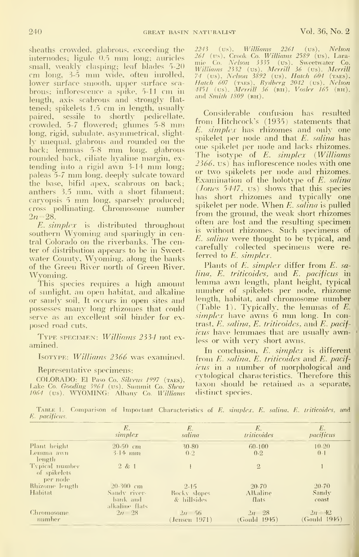internodes; ligule 0.5 mm long; auricles small, weakly clasping; leaf blades 5-20 cm long, 3-5 mm wide, often inrolled, lower surface smooth, upper surface sca brous; inflorescence <sup>a</sup> spike, 5-11 cm in length, axis scabrous and strongly flat tened; spikelets 1.5 cm in length, usually paired, sessile to shortly pedicellate, crowded, 5-7 flowered; glumes 5-8 mm long, rigid, subulate, asymmetrical, slightly unequal, glabrous and rounded on the back; lemmas 5-8 mm long, glabrous rounded back, ciliate hyaline margin, ex tending into <sup>a</sup> rigid awn 3-14 mm long; paleas 5-7 mm long, deeply sulcate toward the base, bifid apex, scabrous on back; anthers 3.5 mm, with <sup>a</sup> short filament; caryopsis <sup>5</sup> mm long, sparsely produced; cross pollinating. Chromosome number  $2n=28$ .

E. simplex is distributed throughout southern Wyoming and sparingly in central Colorado on the riverbanks. The center of distribution appears to be in Sweetwater County, Wyoming, along the banks of the Green River north of Green River, Wyoming.

This species requires a high amount of sunlight, an open habitat, and alkaline or sandy soil. It occurs in open sites and possesses many long rhizomes that could serve as an excellent soil binder for ex posed road cuts.

Type specimen: Williams 2334 not ex amined.

#### IsoTYPE: Williams 2366 was examined.

### Representative specimens:

COLORADO: El Paso Co. Silveus 1997 (TAES), Lake Co. *Gooding 3964* (us). Summit Co. *Shear* – <sup>18</sup><br>1064 (us). WYOMING: Albany Co. *Williams* – d

sheaths crowded, glabrous, exceeding the 2243 (us), Williams 2261 (us), Nelson 2243 (us). Williams 2261 (us), Nelson 261 (us), Crook Co. *Williams* 2589 (us), Lara-<br>mie Co. *Nelson* 3335 (us). Sweetwater Co. Williams 2332 (us), Merrill 36 (us), Merrill<br>74 (us), Nelson 3892 (us), Hatch 604 (тлєѕ), Hatch 607 (тлєѕ), Rydberg 2042 (us). Nelson<br>4451 (us), Merrill 36 (ви), Vosler 165 (ви).<br>and Smith 1809 (ви).

> Considerable confusion has resulted from Hitchcock's (1935) statements that E. simplex has rhizomes and only one spikelet per node and that E. salina has one spikelet per node and lacks rhizomes. The isotype of E. simplex (Williams 2566, us) has inflorescence nodes with one or two spikelets per node and rhizomes. Examination of the holotype of E. salina (Jones 5447, us) shows that this species has short rhizomes and typically one spikelet per node. When  $E$ , salina is pulled from the ground, the weak short rhizomes often are lost and the resulting specimen is without rhizomes. Such specimens of E. salina were thought to be typical, and carefully collected specimens were re ferred to E. simplex.

Plants of *E. simplex* differ from *E. sa*lina, E. triticoides, and E. pacificus in lemma awn length, plant height, typical number of spikelets per node, rhizome length, habitat, and chromosome number (Table 1). Typically, the lemmas of E. simplex have awns 6 mm long. In contrast, E. salina, E. triticoides, and E. pacificus have lemmaes that are usually awn-  $\pm$ less or with very short awns.

In conclusion, E. simplex is different from E. salina, E. triticoides and E. pacificus in a number of morphological and cytological characteristics. Therefore this taxon shovdd be retained as a separate, distinct species.

TABLE 1. Comparison of Important Characteristics of E. simplex. E. salina, E. triticoides, and E. pacificus.

|                                            | E.<br>simplex              | $E_{\cdot}$<br>salina       | E.<br>triticoides         | E.<br>pacificus           |
|--------------------------------------------|----------------------------|-----------------------------|---------------------------|---------------------------|
| Plant height<br>Lemma awn<br>-length       | $20-50$ cm<br>$3-14$ mm    | $30 - 80$<br>0.2            | 60-100<br>$0-2$           | $10 - 20$<br>$0 - 1$      |
| Typical number<br>of spikelets<br>per node | 2 & 1                      |                             | $\Omega$                  |                           |
| Rhizome length                             | $20-300$ cm                | $2 - 15$                    | $20-70$                   | $20-70$                   |
| Habitat                                    | Sandy river-               | Rocky slopes                | Alkaline                  | Sandy                     |
|                                            | bank and<br>alkaline flats | & hillsides                 | flats                     | coast                     |
| Chromosome<br>– number                     | $2n \quad 28$              | $2n - 56$<br>(Jensen 1971). | $2n - 28$<br>(Gould 1945) | $2n = 12$<br>(Gould 1945) |